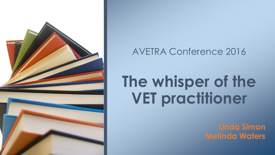

### AVETRA Conference 2016

## **The whisper of the VET practitioner**

**Linda Simon Melinda Waters**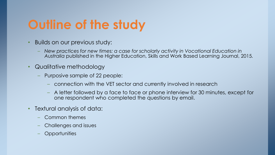### **Outline of the study**

- Builds on our previous study:
	- *New practices for new times: a case for scholarly activity in Vocational Education in Australia* published in the Higher Education, Skills and Work Based Learning Journal, 2015*.*
- Qualitative methodology
	- Purposive sample of 22 people:
		- connection with the VET sector and currently involved in research
		- A letter followed by a face to face or phone interview for 30 minutes, except for one respondent who completed the questions by email.
- Textural analysis of data:
	- Common themes
	- Challenges and issues
	- Opportunities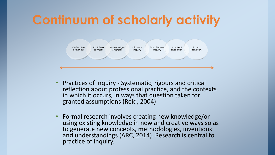### **Continuum of scholarly activity**



- Practices of inquiry Systematic, rigours and critical reflection about professional practice, and the contexts in which it occurs, in ways that question taken for granted assumptions (Reid, 2004)
- Formal research involves creating new knowledge/or using existing knowledge in new and creative ways so as to generate new concepts, methodologies, inventions and understandings (ARC, 2014). Research is central to practice of inquiry.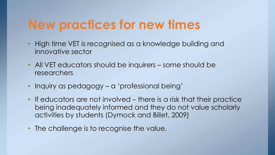### **New practices for new times**

- High time VET is recognised as a knowledge building and innovative sector
- All VET educators should be inquirers some should be researchers
- Inquiry as pedagogy a 'professional being'
- If educators are not involved there is a risk that their practice being inadequately informed and they do not value scholarly activities by students (Dymock and Billet, 2009)
- The challenge is to recognise the value.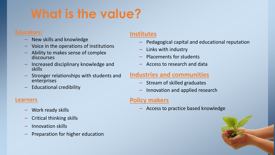## **What is the value?**

#### **Educators:**

- New skills and knowledge
- Voice in the operations of institutions
- Ability to makes sense of complex discourses
- Increased disciplinary knowledge and skills
- Stronger relationships with students and enterprises
- Educational credibility

#### **Learners**

- Work ready skills
- Critical thinking skills
- Innovation skills
- Preparation for higher education

#### **Institutes**

- Pedagogical capital and educational reputation
- Links with industry
- Placements for students
- Access to research and data

#### **Industries and communities**

- Stream of skilled graduates
- Innovation and applied research

#### **Policy makers**

– Access to practice based knowledge

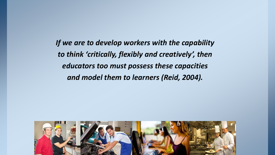*If we are to develop workers with the capability to think 'critically, flexibly and creatively', then educators too must possess these capacities and model them to learners (Reid, 2004).* 

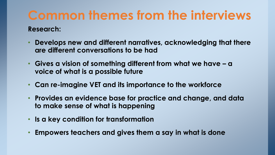# **Common themes from the interviews**

#### **Research:**

- **Develops new and different narratives, acknowledging that there are different conversations to be had**
- **Gives a vision of something different from what we have – a voice of what is a possible future**
- **Can re-imagine VET and its importance to the workforce**
- **Provides an evidence base for practice and change, and data to make sense of what is happening**
- **Is a key condition for transformation**
- **Empowers teachers and gives them a say in what is done**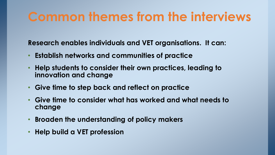### **Common themes from the interviews**

**Research enables individuals and VET organisations. It can:**

- **Establish networks and communities of practice**
- **Help students to consider their own practices, leading to innovation and change**
- **Give time to step back and reflect on practice**
- **Give time to consider what has worked and what needs to change**
- **Broaden the understanding of policy makers**
- **Help build a VET profession**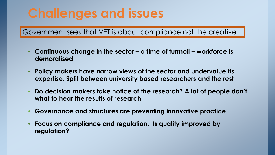### **Challenges and issues**

Government sees that VET is about compliance not the creative

- **Continuous change in the sector – a time of turmoil – workforce is demoralised**
- **Policy makers have narrow views of the sector and undervalue its expertise. Split between university based researchers and the rest**
- **Do decision makers take notice of the research? A lot of people don't what to hear the results of research**
- **Governance and structures are preventing innovative practice**
- **Focus on compliance and regulation. Is quality improved by regulation?**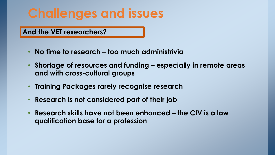### **Challenges and issues**

**And the VET researchers?**

- **No time to research – too much administrivia**
- **Shortage of resources and funding – especially in remote areas and with cross-cultural groups**
- **Training Packages rarely recognise research**
- **Research is not considered part of their job**
- **Research skills have not been enhanced – the CIV is a low qualification base for a profession**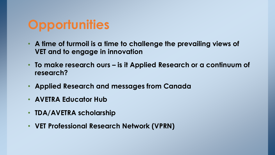### **Opportunities**

- **A time of turmoil is a time to challenge the prevailing views of VET and to engage in innovation**
- **To make research ours – is it Applied Research or a continuum of research?**
- **Applied Research and messages from Canada**
- **AVETRA Educator Hub**
- **TDA/AVETRA scholarship**
- **VET Professional Research Network (VPRN)**